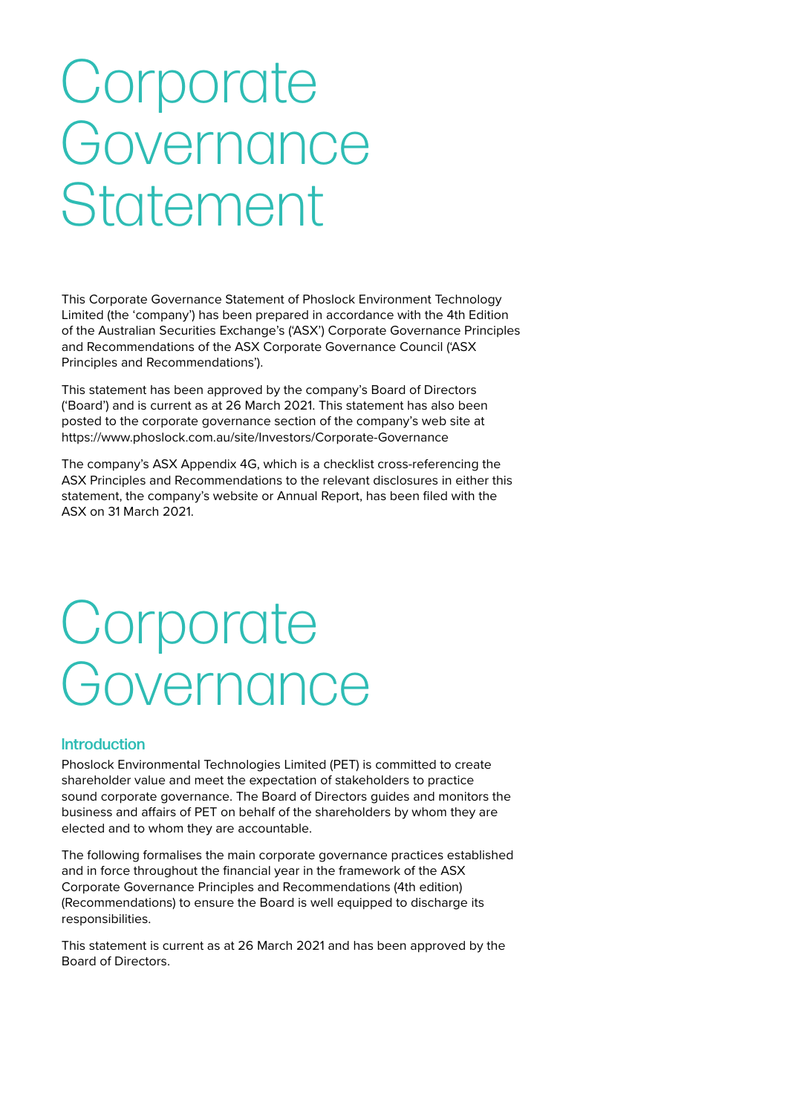# **Corporate** Governance **Statement**

This Corporate Governance Statement of Phoslock Environment Technology Limited (the 'company') has been prepared in accordance with the 4th Edition of the Australian Securities Exchange's ('ASX') Corporate Governance Principles and Recommendations of the ASX Corporate Governance Council ('ASX Principles and Recommendations').

This statement has been approved by the company's Board of Directors ('Board') and is current as at 26 March 2021. This statement has also been posted to the corporate governance section of the company's web site at https://www.phoslock.com.au/site/Investors/Corporate-Governance

The company's ASX Appendix 4G, which is a checklist cross-referencing the ASX Principles and Recommendations to the relevant disclosures in either this statement, the company's website or Annual Report, has been filed with the ASX on 31 March 2021.

## Corporate Governance

#### **Introduction**

Phoslock Environmental Technologies Limited (PET) is committed to create shareholder value and meet the expectation of stakeholders to practice sound corporate governance. The Board of Directors guides and monitors the business and affairs of PET on behalf of the shareholders by whom they are elected and to whom they are accountable.

The following formalises the main corporate governance practices established and in force throughout the financial year in the framework of the ASX Corporate Governance Principles and Recommendations (4th edition) (Recommendations) to ensure the Board is well equipped to discharge its responsibilities.

This statement is current as at 26 March 2021 and has been approved by the Board of Directors.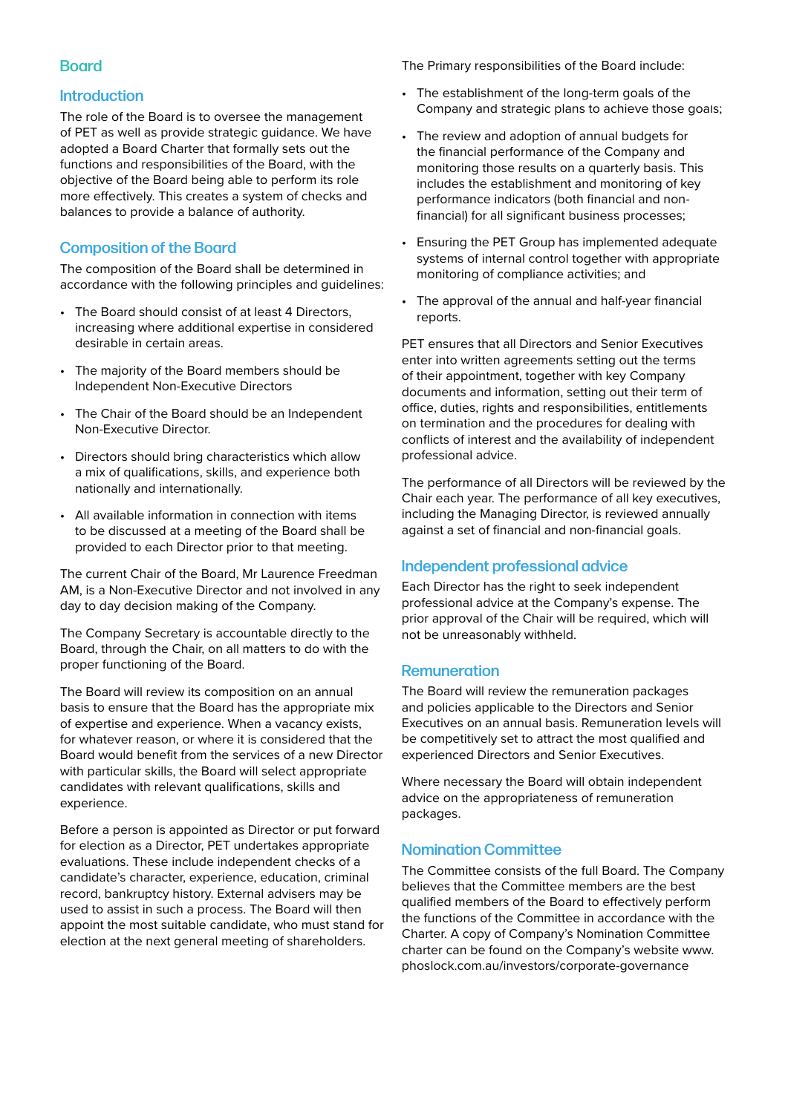#### **Board**

#### Introduction

The role of the Board is to oversee the management of PET as well as provide strategic guidance. We have adopted a Board Charter that formally sets out the functions and responsibilities of the Board, with the objective of the Board being able to perform its role more effectively. This creates a system of checks and balances to provide a balance of authority.

### Composition of the Board

The composition of the Board shall be determined in accordance with the following principles and guidelines:

- The Board should consist of at least 4 Directors, increasing where additional expertise in considered desirable in certain areas.
- The majority of the Board members should be Independent Non-Executive Directors
- The Chair of the Board should be an Independent Non-Executive Director.
- Directors should bring characteristics which allow a mix of qualifications, skills, and experience both nationally and internationally.
- All available information in connection with items to be discussed at a meeting of the Board shall be provided to each Director prior to that meeting.

The current Chair of the Board, Mr Laurence Freedman AM, is a Non-Executive Director and not involved in any day to day decision making of the Company.

The Company Secretary is accountable directly to the Board, through the Chair, on all matters to do with the proper functioning of the Board.

The Board will review its composition on an annual basis to ensure that the Board has the appropriate mix of expertise and experience. When a vacancy exists, for whatever reason, or where it is considered that the Board would benefit from the services of a new Director with particular skills, the Board will select appropriate candidates with relevant qualifications, skills and experience.

Before a person is appointed as Director or put forward for election as a Director, PET undertakes appropriate evaluations. These include independent checks of a candidate's character, experience, education, criminal record, bankruptcy history. External advisers may be used to assist in such a process. The Board will then appoint the most suitable candidate, who must stand for election at the next general meeting of shareholders.

The Primary responsibilities of the Board include:

- The establishment of the long-term goals of the Company and strategic plans to achieve those goals;
- The review and adoption of annual budgets for the financial performance of the Company and monitoring those results on a quarterly basis. This includes the establishment and monitoring of key performance indicators (both financial and nonfinancial) for all significant business processes;
- Ensuring the PET Group has implemented adequate systems of internal control together with appropriate monitoring of compliance activities; and
- The approval of the annual and half-year financial reports.

PET ensures that all Directors and Senior Executives enter into written agreements setting out the terms of their appointment, together with key Company documents and information, setting out their term of office, duties, rights and responsibilities, entitlements on termination and the procedures for dealing with conflicts of interest and the availability of independent professional advice.

The performance of all Directors will be reviewed by the Chair each year. The performance of all key executives, including the Managing Director, is reviewed annually against a set of financial and non-financial goals.

#### Independent professional advice

Each Director has the right to seek independent professional advice at the Company's expense. The prior approval of the Chair will be required, which will not be unreasonably withheld.

#### Remuneration

The Board will review the remuneration packages and policies applicable to the Directors and Senior Executives on an annual basis. Remuneration levels will be competitively set to attract the most qualified and experienced Directors and Senior Executives.

Where necessary the Board will obtain independent advice on the appropriateness of remuneration packages.

#### Nomination Committee

The Committee consists of the full Board. The Company believes that the Committee members are the best qualified members of the Board to effectively perform the functions of the Committee in accordance with the Charter. A copy of Company's Nomination Committee charter can be found on the Company's website www. phoslock.com.au/investors/corporate-governance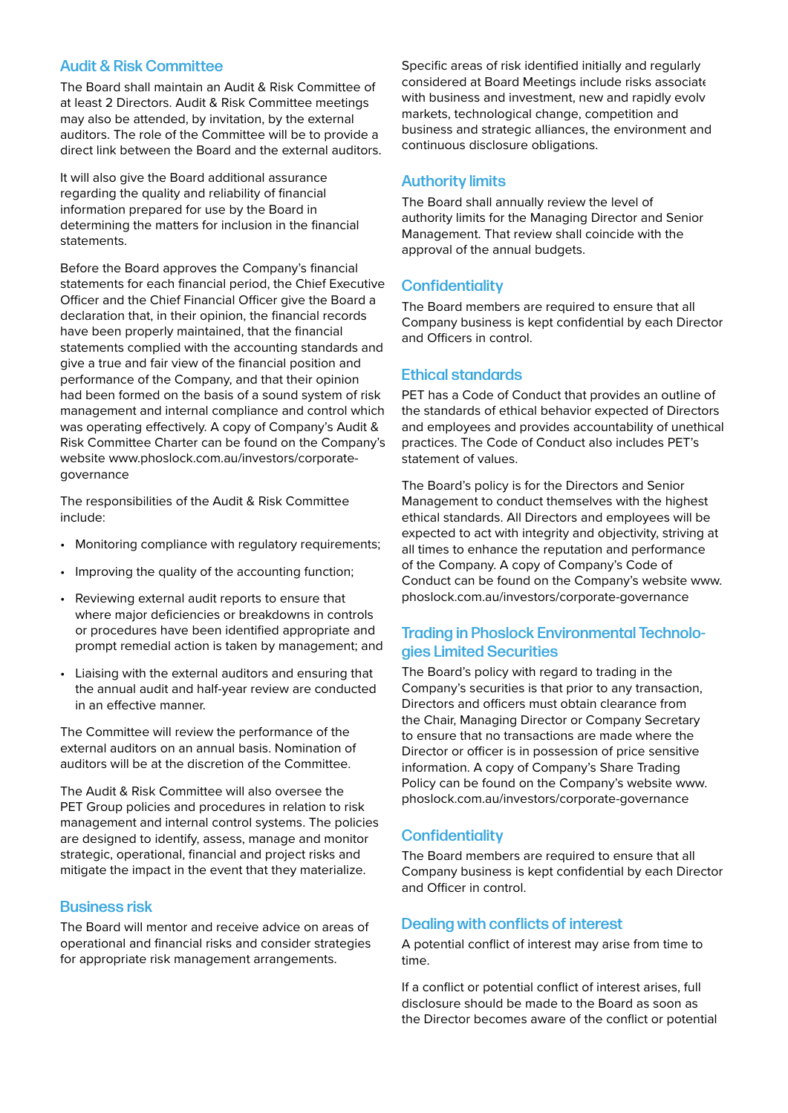#### Audit & Risk Committee

The Board shall maintain an Audit & Risk Committee of at least 2 Directors. Audit & Risk Committee meetings may also be attended, by invitation, by the external auditors. The role of the Committee will be to provide a direct link between the Board and the external auditors.

It will also give the Board additional assurance regarding the quality and reliability of financial information prepared for use by the Board in determining the matters for inclusion in the financial statements.

Before the Board approves the Company's financial statements for each financial period, the Chief Executive Officer and the Chief Financial Officer give the Board a declaration that, in their opinion, the financial records have been properly maintained, that the financial statements complied with the accounting standards and give a true and fair view of the financial position and performance of the Company, and that their opinion had been formed on the basis of a sound system of risk management and internal compliance and control which was operating effectively. A copy of Company's Audit & Risk Committee Charter can be found on the Company's website www.phoslock.com.au/investors/corporategovernance

The responsibilities of the Audit & Risk Committee include:

- Monitoring compliance with regulatory requirements;
- Improving the quality of the accounting function;
- Reviewing external audit reports to ensure that where major deficiencies or breakdowns in controls or procedures have been identified appropriate and prompt remedial action is taken by management; and
- Liaising with the external auditors and ensuring that the annual audit and half-year review are conducted in an effective manner.

The Committee will review the performance of the external auditors on an annual basis. Nomination of auditors will be at the discretion of the Committee.

The Audit & Risk Committee will also oversee the PET Group policies and procedures in relation to risk management and internal control systems. The policies are designed to identify, assess, manage and monitor strategic, operational, financial and project risks and mitigate the impact in the event that they materialize.

#### Business risk

The Board will mentor and receive advice on areas of operational and financial risks and consider strategies for appropriate risk management arrangements.

Specific areas of risk identified initially and regularly considered at Board Meetings include risks associate with business and investment, new and rapidly evolv markets, technological change, competition and business and strategic alliances, the environment and continuous disclosure obligations.

#### Authority limits

The Board shall annually review the level of authority limits for the Managing Director and Senior Management. That review shall coincide with the approval of the annual budgets.

#### **Confidentiality**

The Board members are required to ensure that all Company business is kept confidential by each Director and Officers in control.

#### Ethical standards

PET has a Code of Conduct that provides an outline of the standards of ethical behavior expected of Directors and employees and provides accountability of unethical practices. The Code of Conduct also includes PET's statement of values.

The Board's policy is for the Directors and Senior Management to conduct themselves with the highest ethical standards. All Directors and employees will be expected to act with integrity and objectivity, striving at all times to enhance the reputation and performance of the Company. A copy of Company's Code of Conduct can be found on the Company's website www. phoslock.com.au/investors/corporate-governance

#### Trading in Phoslock Environmental Technologies Limited Securities

The Board's policy with regard to trading in the Company's securities is that prior to any transaction, Directors and officers must obtain clearance from the Chair, Managing Director or Company Secretary to ensure that no transactions are made where the Director or officer is in possession of price sensitive information. A copy of Company's Share Trading Policy can be found on the Company's website www. phoslock.com.au/investors/corporate-governance

#### **Confidentiality**

The Board members are required to ensure that all Company business is kept confidential by each Director and Officer in control.

#### Dealing with conflicts of interest

A potential conflict of interest may arise from time to time.

If a conflict or potential conflict of interest arises, full disclosure should be made to the Board as soon as the Director becomes aware of the conflict or potential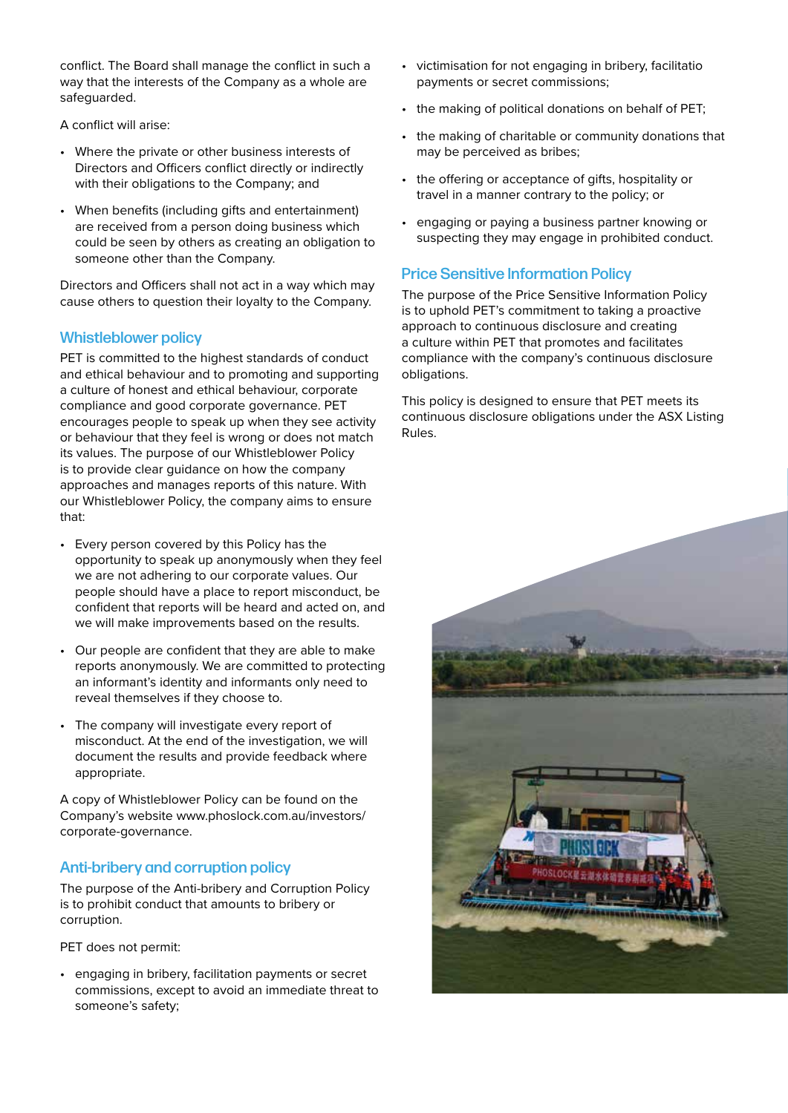conflict. The Board shall manage the conflict in such a way that the interests of the Company as a whole are safeguarded.

A conflict will arise:

- Where the private or other business interests of Directors and Officers conflict directly or indirectly with their obligations to the Company; and
- When benefits (including gifts and entertainment) are received from a person doing business which could be seen by others as creating an obligation to someone other than the Company.

Directors and Officers shall not act in a way which may cause others to question their loyalty to the Company.

#### Whistleblower policy

PET is committed to the highest standards of conduct and ethical behaviour and to promoting and supporting a culture of honest and ethical behaviour, corporate compliance and good corporate governance. PET encourages people to speak up when they see activity or behaviour that they feel is wrong or does not match its values. The purpose of our Whistleblower Policy is to provide clear guidance on how the company approaches and manages reports of this nature. With our Whistleblower Policy, the company aims to ensure that:

- Every person covered by this Policy has the opportunity to speak up anonymously when they feel we are not adhering to our corporate values. Our people should have a place to report misconduct, be confident that reports will be heard and acted on, and we will make improvements based on the results.
- Our people are confident that they are able to make reports anonymously. We are committed to protecting an informant's identity and informants only need to reveal themselves if they choose to.
- The company will investigate every report of misconduct. At the end of the investigation, we will document the results and provide feedback where appropriate.

A copy of Whistleblower Policy can be found on the Company's website www.phoslock.com.au/investors/ corporate-governance.

#### Anti-bribery and corruption policy

The purpose of the Anti-bribery and Corruption Policy is to prohibit conduct that amounts to bribery or corruption.

PET does not permit:

• engaging in bribery, facilitation payments or secret commissions, except to avoid an immediate threat to someone's safety;

- victimisation for not engaging in bribery, facilitation payments or secret commissions;
- the making of political donations on behalf of PET;
- the making of charitable or community donations that may be perceived as bribes;
- the offering or acceptance of gifts, hospitality or travel in a manner contrary to the policy; or
- engaging or paying a business partner knowing or suspecting they may engage in prohibited conduct.

#### Price Sensitive Information Policy

The purpose of the Price Sensitive Information Policy is to uphold PET's commitment to taking a proactive approach to continuous disclosure and creating a culture within PET that promotes and facilitates compliance with the company's continuous disclosure obligations.

This policy is designed to ensure that PET meets its continuous disclosure obligations under the ASX Listing Rules.

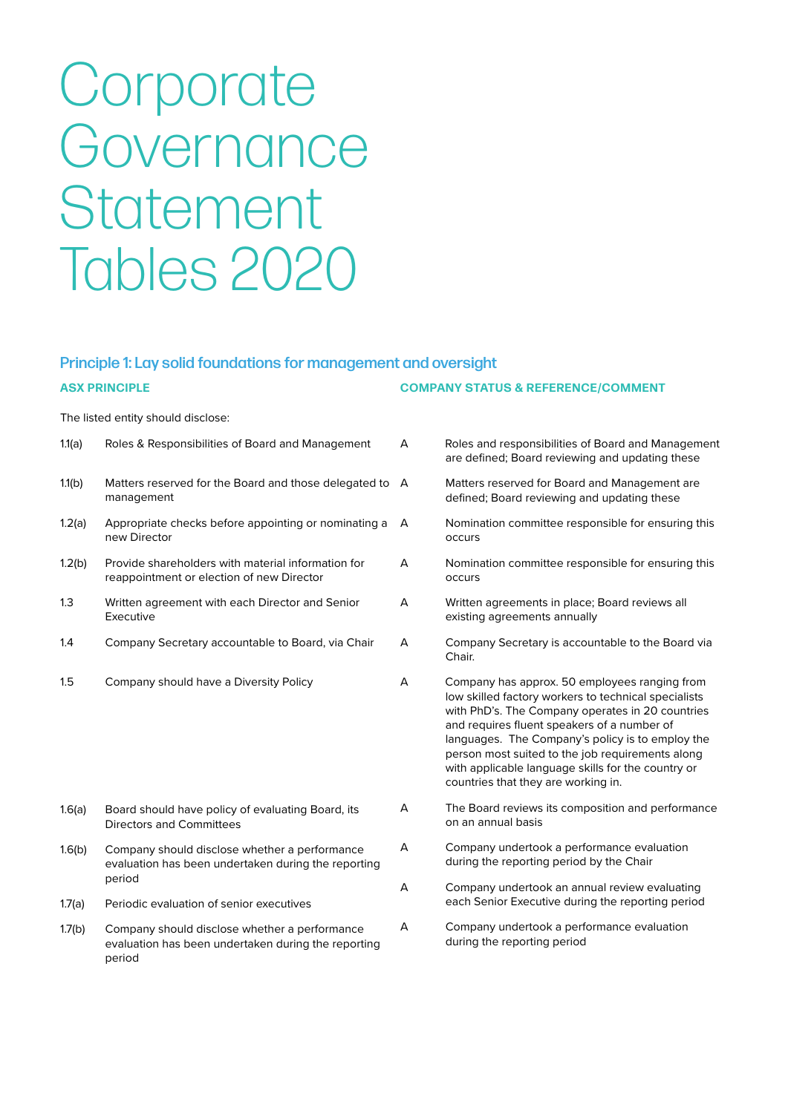# Corporate Governance **Statement** Tables 2020

## Principle 1: Lay solid foundations for management and oversight

The listed entity should disclose:

| 1.1(a) | Roles & Responsibilities of Board and Management                                                | A |
|--------|-------------------------------------------------------------------------------------------------|---|
| 1.1(b) | Matters reserved for the Board and those delegated to<br>management                             | A |
| 1.2(a) | Appropriate checks before appointing or nominating a<br>new Director                            | A |
| 1.2(b) | Provide shareholders with material information for<br>reappointment or election of new Director | А |
| 1.3    | Written agreement with each Director and Senior<br>Executive                                    | А |
| 1.4    | Company Secretary accountable to Board, via Chair                                               | А |
|        |                                                                                                 |   |

1.5 Company should have a Diversity Policy

- 1.6(a) Board should have policy of evaluating Board, its Directors and Committees
- 1.6(b) Company should disclose whether a performance evaluation has been undertaken during the reporting period
- 1.7(a) Periodic evaluation of senior executives
- 1.7(b) Company should disclose whether a performance evaluation has been undertaken during the reporting period

#### **ASX PRINCIPLE COMPANY STATUS & REFERENCE/COMMENT**

- A Roles and responsibilities of Board and Management are defined; Board reviewing and updating these
	- Matters reserved for Board and Management are defined; Board reviewing and updating these
	- A Nomination committee responsible for ensuring this occurs
- A Nomination committee responsible for ensuring this occurs
- Written agreements in place; Board reviews all existing agreements annually
- Company Secretary is accountable to the Board via Chair.
- A Company has approx. 50 employees ranging from low skilled factory workers to technical specialists with PhD's. The Company operates in 20 countries and requires fluent speakers of a number of languages. The Company's policy is to employ the person most suited to the job requirements along with applicable language skills for the country or countries that they are working in.
- A The Board reviews its composition and performance on an annual basis
- A Company undertook a performance evaluation during the reporting period by the Chair
- A Company undertook an annual review evaluating each Senior Executive during the reporting period
- A Company undertook a performance evaluation during the reporting period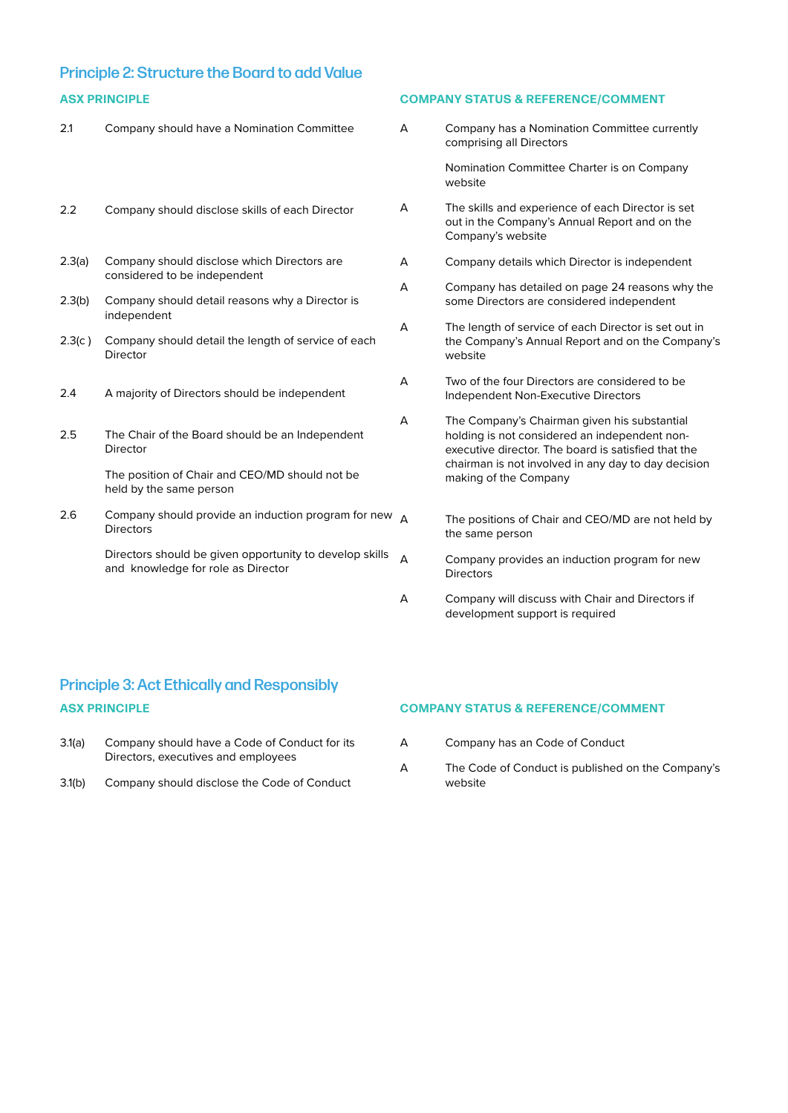### Principle 2: Structure the Board to add Value

#### **ASX PRINCIPLE COMPANY STATUS & REFERENCE/COMMENT**

| 2.1    | Company should have a Nomination Committee                                                    | A | Company has a Nomination Committee currently<br>comprising all Directors                                                                             |
|--------|-----------------------------------------------------------------------------------------------|---|------------------------------------------------------------------------------------------------------------------------------------------------------|
|        |                                                                                               |   | Nomination Committee Charter is on Company<br>website                                                                                                |
| 2.2    | Company should disclose skills of each Director                                               | A | The skills and experience of each Director is set<br>out in the Company's Annual Report and on the<br>Company's website                              |
| 2.3(a) | Company should disclose which Directors are                                                   | A | Company details which Director is independent                                                                                                        |
| 2.3(b) | considered to be independent<br>Company should detail reasons why a Director is               | A | Company has detailed on page 24 reasons why the<br>some Directors are considered independent                                                         |
| 2.3(c) | independent<br>Company should detail the length of service of each<br>Director                | A | The length of service of each Director is set out in<br>the Company's Annual Report and on the Company's<br>website                                  |
| 2.4    | A majority of Directors should be independent                                                 | А | Two of the four Directors are considered to be<br>Independent Non-Executive Directors                                                                |
| 2.5    | The Chair of the Board should be an Independent<br>Director                                   | A | The Company's Chairman given his substantial<br>holding is not considered an independent non-<br>executive director. The board is satisfied that the |
|        | The position of Chair and CEO/MD should not be<br>held by the same person                     |   | chairman is not involved in any day to day decision<br>making of the Company                                                                         |
| 2.6    | Company should provide an induction program for new $A$<br><b>Directors</b>                   |   | The positions of Chair and CEO/MD are not held by<br>the same person                                                                                 |
|        | Directors should be given opportunity to develop skills<br>and knowledge for role as Director | A | Company provides an induction program for new<br><b>Directors</b>                                                                                    |
|        |                                                                                               | А | Company will discuss with Chair and Directors if<br>development support is required                                                                  |

## Principle 3: Act Ethically and Responsibly **ASX PRINCIPLE COMPANY STATUS & REFERENCE/COMMENT**

- 3.1(a) Company should have a Code of Conduct for its Directors, executives and employees
- 3.1(b) Company should disclose the Code of Conduct

- A Company has an Code of Conduct
- A The Code of Conduct is published on the Company's website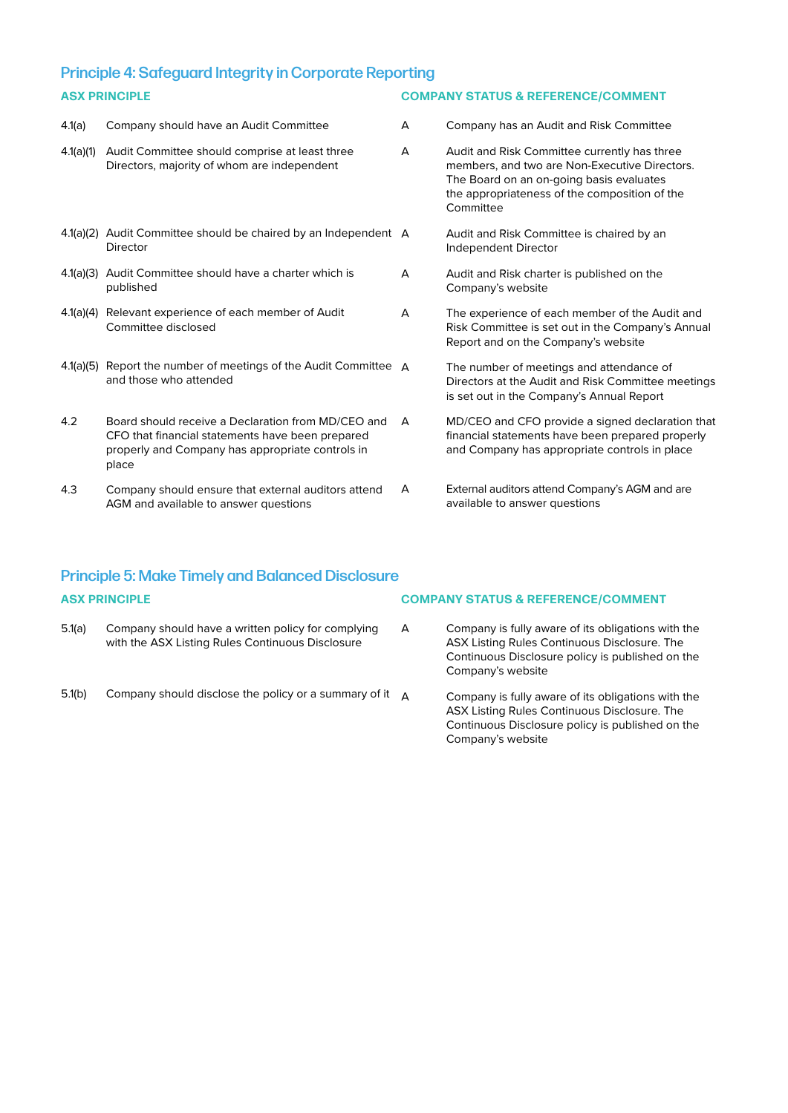### Principle 4: Safeguard Integrity in Corporate Reporting **ASX PRINCIPLE COMPANY STATUS & REFERENCE/COMMENT**

| 4.1(a)    | Company should have an Audit Committee                                                                                                                              | A | Company has an Audit and Risk Committee                                                                                                                                                                 |
|-----------|---------------------------------------------------------------------------------------------------------------------------------------------------------------------|---|---------------------------------------------------------------------------------------------------------------------------------------------------------------------------------------------------------|
| 4.1(a)(1) | Audit Committee should comprise at least three<br>Directors, majority of whom are independent                                                                       | А | Audit and Risk Committee currently has three<br>members, and two are Non-Executive Directors.<br>The Board on an on-going basis evaluates<br>the appropriateness of the composition of the<br>Committee |
|           | 4.1(a)(2) Audit Committee should be chaired by an Independent A<br>Director                                                                                         |   | Audit and Risk Committee is chaired by an<br>Independent Director                                                                                                                                       |
| 4.1(a)(3) | Audit Committee should have a charter which is<br>published                                                                                                         | А | Audit and Risk charter is published on the<br>Company's website                                                                                                                                         |
|           | 4.1(a)(4) Relevant experience of each member of Audit<br>Committee disclosed                                                                                        | A | The experience of each member of the Audit and<br>Risk Committee is set out in the Company's Annual<br>Report and on the Company's website                                                              |
|           | 4.1(a)(5) Report the number of meetings of the Audit Committee $\Delta$<br>and those who attended                                                                   |   | The number of meetings and attendance of<br>Directors at the Audit and Risk Committee meetings<br>is set out in the Company's Annual Report                                                             |
| 4.2       | Board should receive a Declaration from MD/CEO and<br>CFO that financial statements have been prepared<br>properly and Company has appropriate controls in<br>place | A | MD/CEO and CFO provide a signed declaration that<br>financial statements have been prepared properly<br>and Company has appropriate controls in place                                                   |
| 4.3       | Company should ensure that external auditors attend<br>AGM and available to answer questions                                                                        | A | External auditors attend Company's AGM and are<br>available to answer questions                                                                                                                         |

## Principle 5: Make Timely and Balanced Disclosure

| <b>ASX PRINCIPLE</b> |                                                                                                        | <b>COMPANY STATUS &amp; REFERENCE/COMMENT</b> |                                                                                                                                                                             |
|----------------------|--------------------------------------------------------------------------------------------------------|-----------------------------------------------|-----------------------------------------------------------------------------------------------------------------------------------------------------------------------------|
| 5.1(a)               | Company should have a written policy for complying<br>with the ASX Listing Rules Continuous Disclosure | A                                             | Company is fully aware of its obligations with the<br>ASX Listing Rules Continuous Disclosure. The<br>Continuous Disclosure policy is published on the<br>Company's website |
| 5.1(b)               | Company should disclose the policy or a summary of it $\Delta$                                         |                                               | Company is fully aware of its obligations with the<br>ASX Listing Rules Continuous Disclosure. The                                                                          |

Continuous Disclosure policy is published on the

Company's website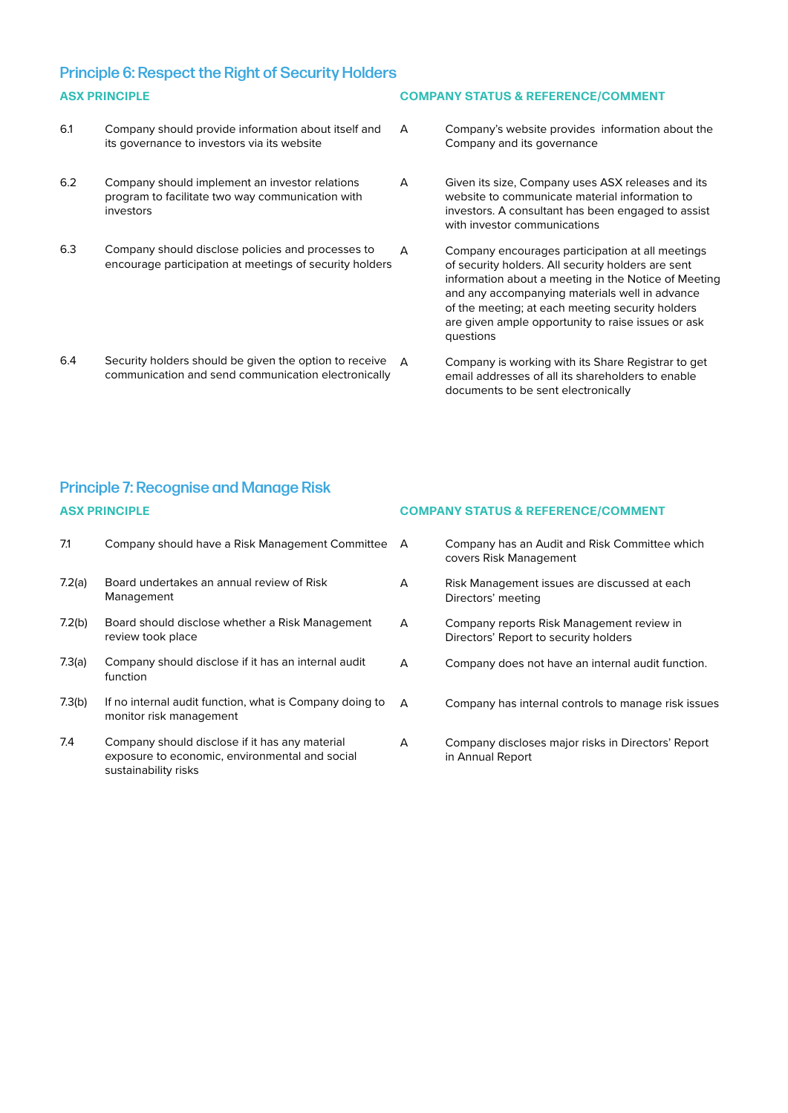### Principle 6: Respect the Right of Security Holders **ASX PRINCIPLE COMPANY STATUS & REFERENCE/COMMENT**

- 6.1 Company should provide information about itself and its governance to investors via its website
- 6.2 Company should implement an investor relations program to facilitate two way communication with investors
- 6.3 Company should disclose policies and processes to encourage participation at meetings of security holders
- 6.4 Security holders should be given the option to receive communication and send communication electronically

- A Company's website provides information about the Company and its governance
- A Given its size, Company uses ASX releases and its website to communicate material information to investors. A consultant has been engaged to assist with investor communications
- A Company encourages participation at all meetings of security holders. All security holders are sent information about a meeting in the Notice of Meeting and any accompanying materials well in advance of the meeting; at each meeting security holders are given ample opportunity to raise issues or ask questions
	- Company is working with its Share Registrar to get email addresses of all its shareholders to enable documents to be sent electronically

### Principle 7: Recognise and Manage Risk **ASX PRINCIPLE COMPANY STATUS & REFERENCE/COMMENT**

| 7.1    | Company should have a Risk Management Committee A                                                                        |   | Company has an Audit and Risk Committee which<br>covers Risk Management            |
|--------|--------------------------------------------------------------------------------------------------------------------------|---|------------------------------------------------------------------------------------|
| 7.2(a) | Board undertakes an annual review of Risk<br>Management                                                                  | A | Risk Management issues are discussed at each<br>Directors' meeting                 |
| 7.2(b) | Board should disclose whether a Risk Management<br>review took place                                                     | A | Company reports Risk Management review in<br>Directors' Report to security holders |
| 7.3(a) | Company should disclose if it has an internal audit<br>function                                                          | A | Company does not have an internal audit function.                                  |
| 7.3(b) | If no internal audit function, what is Company doing to<br>monitor risk management                                       | A | Company has internal controls to manage risk issues                                |
| 7.4    | Company should disclose if it has any material<br>exposure to economic, environmental and social<br>sustainability risks | A | Company discloses major risks in Directors' Report<br>in Annual Report             |